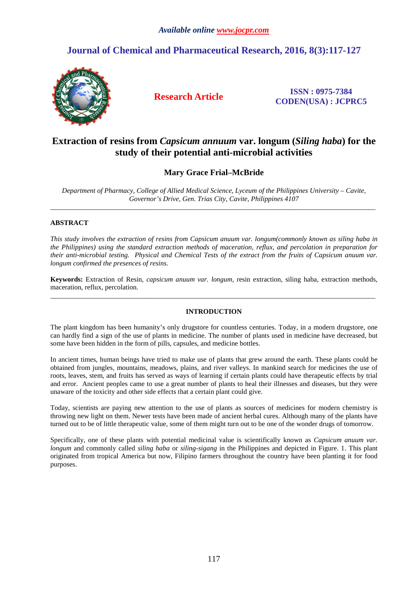# **Journal of Chemical and Pharmaceutical Research, 2016, 8(3):117-127**



**Research Article ISSN : 0975-7384 CODEN(USA) : JCPRC5**

# **Extraction of resins from** *Capsicum annuum* **var. longum (***Siling haba***) for the study of their potential anti-microbial activities**

# **Mary Grace Frial–McBride**

*Department of Pharmacy, College of Allied Medical Science, Lyceum of the Philippines University – Cavite, Governor's Drive, Gen. Trias City, Cavite, Philippines 4107*   $\overline{a}$  , and the contribution of the contribution of the contribution of the contribution of the contribution of the contribution of the contribution of the contribution of the contribution of the contribution of the co

# **ABSTRACT**

*This study involves the extraction of resins from Capsicum anuum var. longum(commonly known as siling haba in the Philippines) using the standard extraction methods of maceration, reflux, and percolation in preparation for their anti-microbial testing. Physical and Chemical Tests of the extract from the fruits of Capsicum anuum var. longum confirmed the presences of resins.* 

**Keywords:** Extraction of Resin, *capsicum anuum var. longum,* resin extraction, siling haba, extraction methods, maceration, reflux, percolation. \_\_\_\_\_\_\_\_\_\_\_\_\_\_\_\_\_\_\_\_\_\_\_\_\_\_\_\_\_\_\_\_\_\_\_\_\_\_\_\_\_\_\_\_\_\_\_\_\_\_\_\_\_\_\_\_\_\_\_\_\_\_\_\_\_\_\_\_\_\_\_\_\_\_\_\_\_\_\_\_\_\_\_\_\_\_\_\_\_\_\_\_\_

# **INTRODUCTION**

The plant kingdom has been humanity's only drugstore for countless centuries. Today, in a modern drugstore, one can hardly find a sign of the use of plants in medicine. The number of plants used in medicine have decreased, but some have been hidden in the form of pills, capsules, and medicine bottles.

In ancient times, human beings have tried to make use of plants that grew around the earth. These plants could be obtained from jungles, mountains, meadows, plains, and river valleys. In mankind search for medicines the use of roots, leaves, stem, and fruits has served as ways of learning if certain plants could have therapeutic effects by trial and error. Ancient peoples came to use a great number of plants to heal their illnesses and diseases, but they were unaware of the toxicity and other side effects that a certain plant could give.

Today, scientists are paying new attention to the use of plants as sources of medicines for modern chemistry is throwing new light on them. Newer tests have been made of ancient herbal cures. Although many of the plants have turned out to be of little therapeutic value, some of them might turn out to be one of the wonder drugs of tomorrow.

Specifically, one of these plants with potential medicinal value is scientifically known as *Capsicum anuum var. longum* and commonly called *siling haba* or *siling-sigang* in the Philippines and depicted in Figure. 1. This plant originated from tropical America but now, Filipino farmers throughout the country have been planting it for food purposes.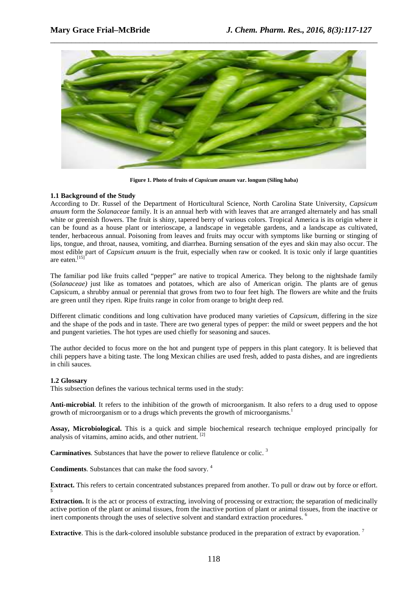

**Figure 1. Photo of fruits of** *Capsicum anuum* **var. longum (Siling haba)** 

## **1.1 Background of the Study**

According to Dr. Russel of the Department of Horticultural Science, North Carolina State University, *Capsicum anuum* form the *Solanaceae* family. It is an annual herb with with leaves that are arranged alternately and has small white or greenish flowers. The fruit is shiny, tapered berry of various colors. Tropical America is its origin where it can be found as a house plant or interioscape, a landscape in vegetable gardens, and a landscape as cultivated, tender, herbaceous annual. Poisoning from leaves and fruits may occur with symptoms like burning or stinging of lips, tongue, and throat, nausea, vomiting, and diarrhea. Burning sensation of the eyes and skin may also occur. The most edible part of *Capsicum anuum* is the fruit, especially when raw or cooked. It is toxic only if large quantities are eaten.[15]

The familiar pod like fruits called "pepper" are native to tropical America. They belong to the nightshade family (*Solanaceae)* just like as tomatoes and potatoes, which are also of American origin. The plants are of genus Capsicum, a shrubby annual or perennial that grows from two to four feet high. The flowers are white and the fruits are green until they ripen. Ripe fruits range in color from orange to bright deep red.

Different climatic conditions and long cultivation have produced many varieties of *Capsicum*, differing in the size and the shape of the pods and in taste. There are two general types of pepper: the mild or sweet peppers and the hot and pungent varieties. The hot types are used chiefly for seasoning and sauces.

The author decided to focus more on the hot and pungent type of peppers in this plant category. It is believed that chili peppers have a biting taste. The long Mexican chilies are used fresh, added to pasta dishes, and are ingredients in chili sauces.

## **1.2 Glossary**

This subsection defines the various technical terms used in the study:

**Anti-microbial**. It refers to the inhibition of the growth of microorganism. It also refers to a drug used to oppose growth of microorganism or to a drugs which prevents the growth of microorganisms.<sup>1</sup>

**Assay, Microbiological.** This is a quick and simple biochemical research technique employed principally for analysis of vitamins, amino acids, and other nutrient. [2]

**Carminatives**. Substances that have the power to relieve flatulence or colic. <sup>3</sup>

**Condiments**. Substances that can make the food savory. <sup>4</sup>

**Extract.** This refers to certain concentrated substances prepared from another. To pull or draw out by force or effort. 5

**Extraction.** It is the act or process of extracting, involving of processing or extraction; the separation of medicinally active portion of the plant or animal tissues, from the inactive portion of plant or animal tissues, from the inactive or inert components through the uses of selective solvent and standard extraction procedures. <sup>6</sup>

**Extractive**. This is the dark-colored insoluble substance produced in the preparation of extract by evaporation.<sup>7</sup>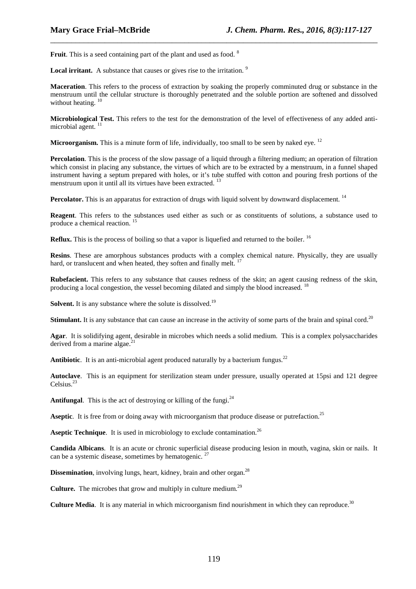Fruit. This is a seed containing part of the plant and used as food. <sup>8</sup>

**Local irritant.** A substance that causes or gives rise to the irritation.<sup>9</sup>

**Maceration**. This refers to the process of extraction by soaking the properly comminuted drug or substance in the menstruum until the cellular structure is thoroughly penetrated and the soluble portion are softened and dissolved without heating.<sup>10</sup>

\_\_\_\_\_\_\_\_\_\_\_\_\_\_\_\_\_\_\_\_\_\_\_\_\_\_\_\_\_\_\_\_\_\_\_\_\_\_\_\_\_\_\_\_\_\_\_\_\_\_\_\_\_\_\_\_\_\_\_\_\_\_\_\_\_\_\_\_\_\_\_\_\_\_\_\_\_\_

**Microbiological Test.** This refers to the test for the demonstration of the level of effectiveness of any added antimicrobial agent.<sup>11</sup>

**Microorganism.** This is a minute form of life, individually, too small to be seen by naked eye. <sup>12</sup>

**Percolation**. This is the process of the slow passage of a liquid through a filtering medium; an operation of filtration which consist in placing any substance, the virtues of which are to be extracted by a menstruum, in a funnel shaped instrument having a septum prepared with holes, or it's tube stuffed with cotton and pouring fresh portions of the menstruum upon it until all its virtues have been extracted.<sup>13</sup>

Percolator. This is an apparatus for extraction of drugs with liquid solvent by downward displacement.<sup>14</sup>

**Reagent**. This refers to the substances used either as such or as constituents of solutions, a substance used to produce a chemical reaction. <sup>15</sup>

**Reflux.** This is the process of boiling so that a vapor is liquefied and returned to the boiler. <sup>16</sup>

**Resins**. These are amorphous substances products with a complex chemical nature. Physically, they are usually hard, or translucent and when heated, they soften and finally melt.

**Rubefacient.** This refers to any substance that causes redness of the skin; an agent causing redness of the skin, producing a local congestion, the vessel becoming dilated and simply the blood increased. <sup>18</sup>

**Solvent.** It is any substance where the solute is dissolved.<sup>19</sup>

**Stimulant.** It is any substance that can cause an increase in the activity of some parts of the brain and spinal cord.<sup>20</sup>

**Agar**. It is solidifying agent, desirable in microbes which needs a solid medium. This is a complex polysaccharides derived from a marine algae.<sup>21</sup>

**Antibiotic**. It is an anti-microbial agent produced naturally by a bacterium fungus.<sup>22</sup>

**Autoclave**. This is an equipment for sterilization steam under pressure, usually operated at 15psi and 121 degree Celsius.<sup>23</sup>

**Antifungal.** This is the act of destroying or killing of the fungi.<sup>24</sup>

**Aseptic.** It is free from or doing away with microorganism that produce disease or putrefaction.<sup>25</sup>

**Aseptic Technique.** It is used in microbiology to exclude contamination.<sup>26</sup>

**Candida Albicans**. It is an acute or chronic superficial disease producing lesion in mouth, vagina, skin or nails. It can be a systemic disease, sometimes by hematogenic.  $27$ 

**Dissemination**, involving lungs, heart, kidney, brain and other organ.<sup>28</sup>

**Culture.** The microbes that grow and multiply in culture medium.<sup>29</sup>

**Culture Media**. It is any material in which microorganism find nourishment in which they can reproduce.<sup>30</sup>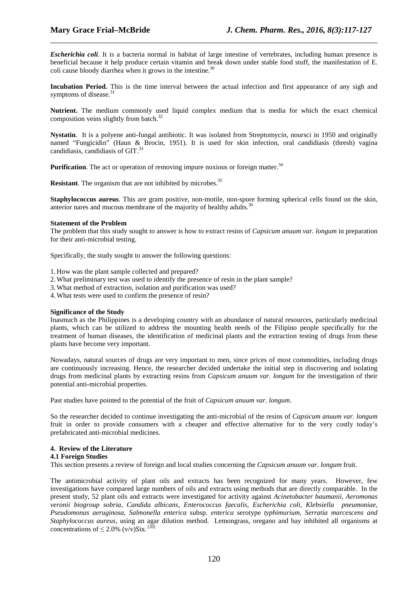*Escherichia coli*. It is a bacteria normal in habitat of large intestine of vertebrates, including human presence is beneficial because it help produce certain vitamin and break down under stable food stuff, the manifestation of E. coli cause bloody diarrhea when it grows in the intestine.<sup>30</sup>

\_\_\_\_\_\_\_\_\_\_\_\_\_\_\_\_\_\_\_\_\_\_\_\_\_\_\_\_\_\_\_\_\_\_\_\_\_\_\_\_\_\_\_\_\_\_\_\_\_\_\_\_\_\_\_\_\_\_\_\_\_\_\_\_\_\_\_\_\_\_\_\_\_\_\_\_\_\_

**Incubation Period.** This is the time interval between the actual infection and first appearance of any sigh and symptoms of disease.<sup>31</sup>

**Nutrient.** The medium commonly used liquid complex medium that is media for which the exact chemical composition veins slightly from batch.<sup>32</sup>

**Nystatin**. It is a polyene anti-fungal antibiotic. It was isolated from Streptomycin, noursci in 1950 and originally named "Fungicidin" (Haun & Brocin, 1951). It is used for skin infection, oral candidiasis (thresh) vagina candidiasis, candidiasis of GIT.<sup>33</sup>

**Purification**. The act or operation of removing impure noxious or foreign matter.<sup>34</sup>

**Resistant**. The organism that are not inhibited by microbes.<sup>35</sup>

**Staphylococcus aureus**. This are gram positive, non-motile, non-spore forming spherical cells found on the skin, anterior nares and mucous membrane of the majority of healthy adults.<sup>36</sup>

#### **Statement of the Problem**

The problem that this study sought to answer is how to extract resins of *Capsicum anuum var. longum* in preparation for their anti-microbial testing.

Specifically, the study sought to answer the following questions:

1. How was the plant sample collected and prepared?

- 2.What preliminary test was used to identify the presence of resin in the plant sample?
- 3.What method of extraction, isolation and purification was used?
- 4.What tests were used to confirm the presence of resin?

## **Significance of the Study**

Inasmuch as the Philippines is a developing country with an abundance of natural resources, particularly medicinal plants, which can be utilized to address the mounting health needs of the Filipino people specifically for the treatment of human diseases, the identification of medicinal plants and the extraction testing of drugs from these plants have become very important.

Nowadays, natural sources of drugs are very important to men, since prices of most commodities, including drugs are continuously increasing. Hence, the researcher decided undertake the initial step in discovering and isolating drugs from medicinal plants by extracting resins from *Capsicum anuum var. longum* for the investigation of their potential anti-microbial properties.

Past studies have pointed to the potential of the fruit of *Capsicum anuum var. longum*.

So the researcher decided to continue investigating the anti-microbial of the resins of *Capsicum anuum var. longum* fruit in order to provide consumers with a cheaper and effective alternative for to the very costly today's prefabricated anti-microbial medicines.

## **4. Review of the Literature**

#### **4.1 Foreign Studies**

This section presents a review of foreign and local studies concerning the *Capsicum anuum var. longum* fruit.

The antimicrobial activity of plant oils and extracts has been recognized for many years. However, few investigations have compared large numbers of oils and extracts using methods that are directly comparable. In the present study, 52 plant oils and extracts were investigated for activity against *Acinetobacter baumanii, Aeromonas veronii biogroup sobria, Candida albicans, Enterococcus faecalis, Escherichia coli, Klebsiella pneumoniae, Pseudomonas aeruginosa, Salmonella enterica* subsp. *enterica* serotype *typhimurium, Serratia marcescens and Staphylococcus aureus,* using an agar dilution method. Lemongrass, oregano and bay inhibited all organisms at concentrations of  $\leq 2.0\%$  (v/v)Six.<sup>[20]</sup>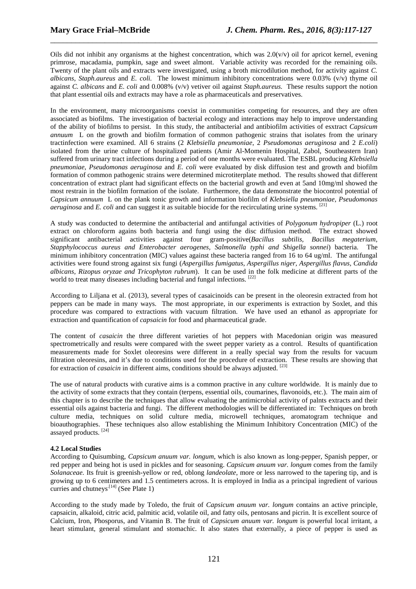Oils did not inhibit any organisms at the highest concentration, which was  $2.0(v/v)$  oil for apricot kernel, evening primrose, macadamia, pumpkin, sage and sweet almont. Variable activity was recorded for the remaining oils. Twenty of the plant oils and extracts were investigated, using a broth microdilution method, for activity against *C. albicans, Staph.aureus* and *E. coli.* The lowest minimum inhibitory concentrations were 0.03% (v/v) thyme oil against *C. albicans* and *E. coli* and 0.008% (v/v) vetiver oil against *Staph.aureus.* These results support the notion that plant essential oils and extracts may have a role as pharmaceuticals and preservatives.

\_\_\_\_\_\_\_\_\_\_\_\_\_\_\_\_\_\_\_\_\_\_\_\_\_\_\_\_\_\_\_\_\_\_\_\_\_\_\_\_\_\_\_\_\_\_\_\_\_\_\_\_\_\_\_\_\_\_\_\_\_\_\_\_\_\_\_\_\_\_\_\_\_\_\_\_\_\_

In the environment, many microorganisms coexist in communities competing for resources, and they are often associated as biofilms. The investigation of bacterial ecology and interactions may help to improve understanding of the ability of biofilms to persist. In this study, the antibacterial and antibiofilm activities of esxtract *Capsicum annuum* L on the growth and biofilm formation of common pathogenic strains that isolates from the urinary tractinfection were examined. All 6 strains (2 *Klebsiella pneumoniae*, 2 *Pseudomonas aeruginosa* and 2 *E.coli*) isolated from the urine culture of hospitalized patients (Amir Al-Momenin Hospital, Zabol, Southeastern Iran) suffered from urinary tract infections during a period of one months were evaluated. The ESBL producing *Klebsiella pneumoniae*, *Pseudomonas aeruginosa* and *E. coli* were evaluated by disk diffusion test and growth and biofilm formation of common pathogenic strains were determined microtiterplate method. The results showed that different concentration of extract plant had significant effects on the bacterial growth and even at 5and 10mg/ml showed the most restrain in the biofilm formation of the isolate. Furthermore, the data demonstrate the biocontrol potential of *Capsicum annuum* L on the plank tonic growth and information biofilm of *Klebsiella pneumoniae*, *Pseudomonas aeruginosa* and *E. coli* and can suggest it as suitable biocide for the recirculating urine systems. [21]

A study was conducted to determine the antibacterial and antifungal activities of *Polygonum hydropiper* (L.) root extract on chloroform agains both bacteria and fungi using the disc diffusion method. The extract showed significant antibacterial activities against four gram-positive(*Bacillus subtilis, Bacillus megaterium, Stapphylococcus aureus and Enterobacter aerogenes, Salmonella typhi and Shigella sonnei*) bacteria. The minimum inhibitory concentration (MIC) values against these bacteria ranged from 16 to 64 ug/ml. The antifungal activities were found strong against six fungi (*Aspergillus fumigatus, Aspergillus niger, Aspergillus flavus, Candida albicans, Rizopus oryzae and Tricophyton rubrum*). It can be used in the folk medicine at different parts of the world to treat many diseases including bacterial and fungal infections. [22]

According to Liljana et al. (2013), several types of casaicinoids can be present in the oleoresin extracted from hot peppers can be made in many ways. The most appropriate, in our experiments is extraction by Soxlet, and this procedure was compared to extractions with vacuum filtration. We have used an ethanol as appropriate for extraction and quantification of *capsaicin* for food and pharmaceutical grade.

The content of *casaicin* the three different varieties of hot peppers with Macedonian origin was measured spectrometrically and results were compared with the sweet pepper variety as a control. Results of quantification measurements made for Soxlet oleoresins were different in a really special way from the results for vacuum filtration oleoresins, and it's due to conditions used for the procedure of extraction. These results are showing that for extraction of *casaicin* in different aims, conditions should be always adjusted. <sup>[23]</sup>

The use of natural products with curative aims is a common practive in any culture worldwide. It is mainly due to the activity of some extracts that they contain (terpens, essential oils, coumarines, flavonoids, etc.). The main aim of this chapter is to describe the techniques that allow evaluating the antimicrobial activity of palnts extracts and their essential oils against bacteria and fungi. The different methodologies will be differentiated in: Techniques on broth culture media, techniques on solid culture media, microwell techniques, aromatogram technique and bioauthographies. These techniques also allow establishing the Minimum Inhibitory Concentration (MIC) of the assayed products. [24]

## **4.2 Local Studies**

According to Quisumbing, *Capsicum anuum var. longum*, which is also known as long-pepper, Spanish pepper, or red pepper and being hot is used in pickles and for seasoning. *Capsicum anuum var. longum* comes from the family *Solanaceae.* Its fruit is greenish-yellow or red, oblong *landeolate*, more or less narrowed to the tapering tip, and is growing up to 6 centimeters and 1.5 centimeters across. It is employed in India as a principal ingredient of various curries and chutneys<sup> $[14]$ </sup> (See Plate 1)

According to the study made by Toledo, the fruit of *Capsicum anuum var. longum* contains an active principle, capsaicin, alkaloid, citric acid, palmitic acid, volatile oil, and fatty oils, pentosans and picrin. It is excellent source of Calcium, Iron, Phosporus, and Vitamin B. The fruit of *Capsicum anuum var. longum* is powerful local irritant, a heart stimulant, general stimulant and stomachic. It also states that externally, a piece of pepper is used as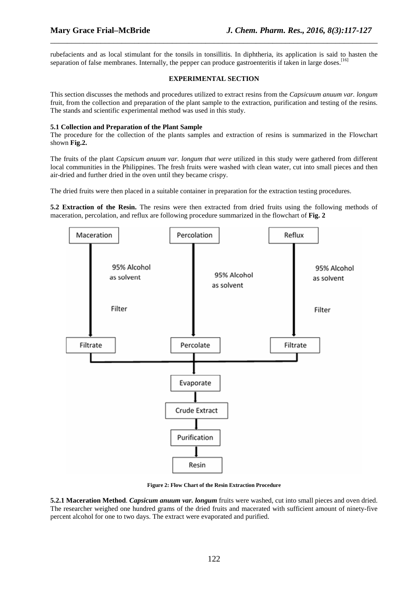rubefacients and as local stimulant for the tonsils in tonsillitis. In diphtheria, its application is said to hasten the separation of false membranes. Internally, the pepper can produce gastroenteritis if taken in large doses.<sup>[16]</sup>

\_\_\_\_\_\_\_\_\_\_\_\_\_\_\_\_\_\_\_\_\_\_\_\_\_\_\_\_\_\_\_\_\_\_\_\_\_\_\_\_\_\_\_\_\_\_\_\_\_\_\_\_\_\_\_\_\_\_\_\_\_\_\_\_\_\_\_\_\_\_\_\_\_\_\_\_\_\_

## **EXPERIMENTAL SECTION**

This section discusses the methods and procedures utilized to extract resins from the *Capsicuum anuum var. longum* fruit, from the collection and preparation of the plant sample to the extraction, purification and testing of the resins. The stands and scientific experimental method was used in this study.

## **5.1 Collection and Preparation of the Plant Sample**

The procedure for the collection of the plants samples and extraction of resins is summarized in the Flowchart shown **Fig.2.**

The fruits of the plant *Capsicum anuum var. longum that were* utilized in this study were gathered from different local communities in the Philippines. The fresh fruits were washed with clean water, cut into small pieces and then air-dried and further dried in the oven until they became crispy.

The dried fruits were then placed in a suitable container in preparation for the extraction testing procedures.

**5.2 Extraction of the Resin.** The resins were then extracted from dried fruits using the following methods of maceration, percolation, and reflux are following procedure summarized in the flowchart of **Fig. 2**



**Figure 2: Flow Chart of the Resin Extraction Procedure** 

**5.2.1 Maceration Method**. *Capsicum anuum var. longum* fruits were washed, cut into small pieces and oven dried. The researcher weighed one hundred grams of the dried fruits and macerated with sufficient amount of ninety-five percent alcohol for one to two days. The extract were evaporated and purified.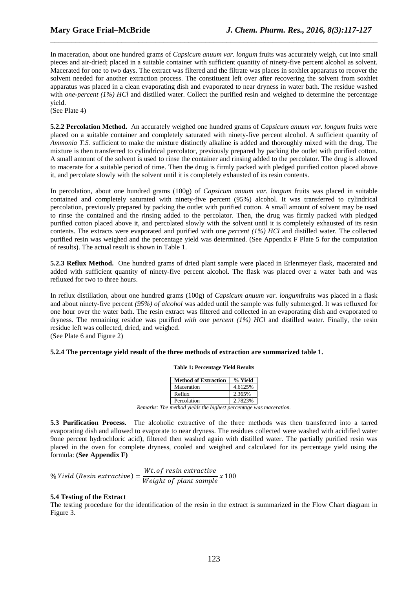In maceration, about one hundred grams of *Capsicum anuum var. longum* fruits was accurately weigh, cut into small pieces and air-dried; placed in a suitable container with sufficient quantity of ninety-five percent alcohol as solvent. Macerated for one to two days. The extract was filtered and the filtrate was places in soxhlet apparatus to recover the solvent needed for another extraction process. The constituent left over after recovering the solvent from soxhlet apparatus was placed in a clean evaporating dish and evaporated to near dryness in water bath. The residue washed with *one-percent (1%) HCl* and distilled water. Collect the purified resin and weighed to determine the percentage yield.

\_\_\_\_\_\_\_\_\_\_\_\_\_\_\_\_\_\_\_\_\_\_\_\_\_\_\_\_\_\_\_\_\_\_\_\_\_\_\_\_\_\_\_\_\_\_\_\_\_\_\_\_\_\_\_\_\_\_\_\_\_\_\_\_\_\_\_\_\_\_\_\_\_\_\_\_\_\_

(See Plate 4)

**5.2.2 Percolation Method.** An accurately weighed one hundred grams of *Capsicum anuum var. longum* fruits were placed on a suitable container and completely saturated with ninety-five percent alcohol. A sufficient quantity of *Ammonia T.S.* sufficient to make the mixture distinctly alkaline is added and thoroughly mixed with the drug. The mixture is then transferred to cylindrical percolator, previously prepared by packing the outlet with purified cotton. A small amount of the solvent is used to rinse the container and rinsing added to the percolator. The drug is allowed to macerate for a suitable period of time. Then the drug is firmly packed with pledged purified cotton placed above it, and percolate slowly with the solvent until it is completely exhausted of its resin contents.

In percolation, about one hundred grams (100g) of *Capsicum anuum var. longum* fruits was placed in suitable contained and completely saturated with ninety-five percent (95%) alcohol. It was transferred to cylindrical percolation, previously prepared by packing the outlet with purified cotton. A small amount of solvent may be used to rinse the contained and the rinsing added to the percolator. Then, the drug was firmly packed with pledged purified cotton placed above it, and percolated slowly with the solvent until it is completely exhausted of its resin contents. The extracts were evaporated and purified with one *percent (1%) HCl* and distilled water. The collected purified resin was weighed and the percentage yield was determined. (See Appendix F Plate 5 for the computation of results). The actual result is shown in Table 1.

**5.2.3 Reflux Method.** One hundred grams of dried plant sample were placed in Erlenmeyer flask, macerated and added with sufficient quantity of ninety-five percent alcohol. The flask was placed over a water bath and was refluxed for two to three hours.

In reflux distillation, about one hundred grams (100g) of *Capsicum anuum var. longum*fruits was placed in a flask and about ninety-five percent *(95%) of alcohol* was added until the sample was fully submerged. It was refluxed for one hour over the water bath. The resin extract was filtered and collected in an evaporating dish and evaporated to dryness. The remaining residue was purified *with one percent (1%) HCl* and distilled water. Finally, the resin residue left was collected, dried, and weighed.

(See Plate 6 and Figure 2)

## **5.2.4 The percentage yield result of the three methods of extraction are summarized table 1.**

**Table 1: Percentage Yield Results**

| <b>Method of Extraction</b> | % Yield |
|-----------------------------|---------|
| Maceration                  | 4.6125% |
| Reflux                      | 2.365%  |
| Percolation                 | 2.7823% |

*Remarks: The method yields the highest percentage was maceration.* 

**5.3 Purification Process.** The alcoholic extractive of the three methods was then transferred into a tarred evaporating dish and allowed to evaporate to near dryness. The residues collected were washed with acidified water 9one percent hydrochloric acid), filtered then washed again with distilled water. The partially purified resin was placed in the oven for complete dryness, cooled and weighed and calculated for its percentage yield using the formula: **(See Appendix F)** 

$$
\% Yield (Resin extractive) = \frac{Wt. \text{ of } result\ extractive}{Weight \text{ of plant sample}} \times 100
$$

## **5.4 Testing of the Extract**

The testing procedure for the identification of the resin in the extract is summarized in the Flow Chart diagram in Figure 3.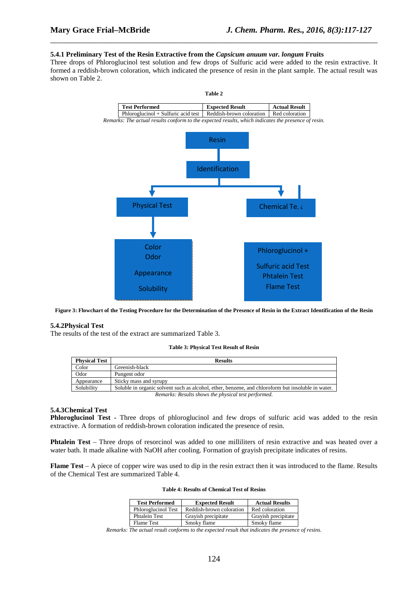#### **5.4.1 Preliminary Test of the Resin Extractive from the** *Capsicum anuum var. longum* **Fruits**

Three drops of Phloroglucinol test solution and few drops of Sulfuric acid were added to the resin extractive. It formed a reddish-brown coloration, which indicated the presence of resin in the plant sample. The actual result was shown on Table 2.

\_\_\_\_\_\_\_\_\_\_\_\_\_\_\_\_\_\_\_\_\_\_\_\_\_\_\_\_\_\_\_\_\_\_\_\_\_\_\_\_\_\_\_\_\_\_\_\_\_\_\_\_\_\_\_\_\_\_\_\_\_\_\_\_\_\_\_\_\_\_\_\_\_\_\_\_\_\_



**Figure 3: Flowchart of the Testing Procedure for the Determination of the Presence of Resin in the Extract Identification of the Resin** 

#### **5.4.2Physical Test**

The results of the test of the extract are summarized Table 3.

#### **Table 3: Physical Test Result of Resin**

| <b>Physical Test</b>                                | <b>Results</b>                                                                                     |
|-----------------------------------------------------|----------------------------------------------------------------------------------------------------|
| Color                                               | Greenish-black                                                                                     |
| Odor                                                | Pungent odor                                                                                       |
| Appearance                                          | Sticky mass and syrupy                                                                             |
| Solubility                                          | Soluble in organic solvent such as alcohol, ether, benzene, and chloroform but insoluble in water. |
| Remarks: Results shows the physical test performed. |                                                                                                    |

#### **5.4.3Chemical Test**

**Phloroglucinol Test -** Three drops of phloroglucinol and few drops of sulfuric acid was added to the resin extractive. A formation of reddish-brown coloration indicated the presence of resin.

**Phtalein Test** – Three drops of resorcinol was added to one milliliters of resin extractive and was heated over a water bath. It made alkaline with NaOH after cooling. Formation of gravish precipitate indicates of resins.

**Flame Test** – A piece of copper wire was used to dip in the resin extract then it was introduced to the flame. Results of the Chemical Test are summarized Table 4.

| <b>Test Performed</b> | <b>Expected Result</b>   | <b>Actual Results</b> |
|-----------------------|--------------------------|-----------------------|
| Phloroglucinol Test   | Reddish-brown coloration | Red coloration        |
| <b>Phtalein Test</b>  | Grayish precipitate      | Grayish precipitate   |
| <b>Flame Test</b>     | Smoky flame              | Smoky flame           |

#### **Table 4: Results of Chemical Test of Resins**

*Remarks: The actual result conforms to the expected result that indicates the presence of resins.*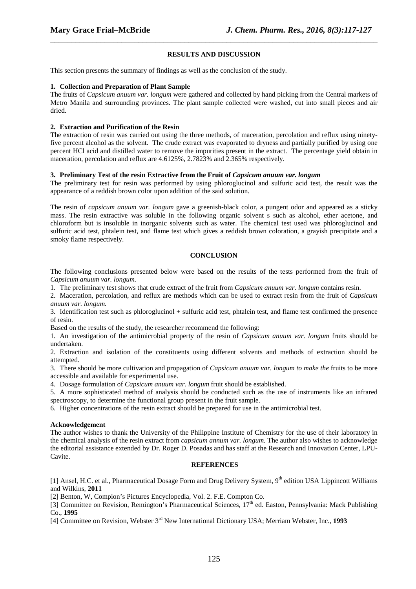## **RESULTS AND DISCUSSION**

\_\_\_\_\_\_\_\_\_\_\_\_\_\_\_\_\_\_\_\_\_\_\_\_\_\_\_\_\_\_\_\_\_\_\_\_\_\_\_\_\_\_\_\_\_\_\_\_\_\_\_\_\_\_\_\_\_\_\_\_\_\_\_\_\_\_\_\_\_\_\_\_\_\_\_\_\_\_

This section presents the summary of findings as well as the conclusion of the study.

#### **1. Collection and Preparation of Plant Sample**

The fruits of *Capsicum anuum var. longum* were gathered and collected by hand picking from the Central markets of Metro Manila and surrounding provinces. The plant sample collected were washed, cut into small pieces and air dried.

## **2. Extraction and Purification of the Resin**

The extraction of resin was carried out using the three methods, of maceration, percolation and reflux using ninetyfive percent alcohol as the solvent. The crude extract was evaporated to dryness and partially purified by using one percent HCl acid and distilled water to remove the impurities present in the extract. The percentage yield obtain in maceration, percolation and reflux are 4.6125%, 2.7823% and 2.365% respectively.

## **3. Preliminary Test of the resin Extractive from the Fruit of** *Capsicum anuum var. longum*

The preliminary test for resin was performed by using phloroglucinol and sulfuric acid test, the result was the appearance of a reddish brown color upon addition of the said solution.

The resin of *capsicum anuum var. longum* gave a greenish-black color, a pungent odor and appeared as a sticky mass. The resin extractive was soluble in the following organic solvent s such as alcohol, ether acetone, and chloroform but is insoluble in inorganic solvents such as water. The chemical test used was phloroglucinol and sulfuric acid test, phtalein test, and flame test which gives a reddish brown coloration, a grayish precipitate and a smoky flame respectively.

## **CONCLUSION**

The following conclusions presented below were based on the results of the tests performed from the fruit of *Capsicum anuum var. longum.*

1. The preliminary test shows that crude extract of the fruit from *Capsicum anuum var. longum* contains resin.

2. Maceration, percolation, and reflux are methods which can be used to extract resin from the fruit of *Capsicum anuum var. longum.*

3. Identification test such as phloroglucinol + sulfuric acid test, phtalein test, and flame test confirmed the presence of resin.

Based on the results of the study, the researcher recommend the following:

1. An investigation of the antimicrobial property of the resin of *Capsicum anuum var. longum* fruits should be undertaken.

2. Extraction and isolation of the constituents using different solvents and methods of extraction should be attempted.

3. There should be more cultivation and propagation of *Capsicum anuum var. longum to make the* fruits to be more accessible and available for experimental use.

4. Dosage formulation of *Capsicum anuum var. longum* fruit should be established.

5. A more sophisticated method of analysis should be conducted such as the use of instruments like an infrared spectroscopy, to determine the functional group present in the fruit sample.

6. Higher concentrations of the resin extract should be prepared for use in the antimicrobial test.

## **Acknowledgement**

The author wishes to thank the University of the Philippine Institute of Chemistry for the use of their laboratory in the chemical analysis of the resin extract from *capsicum annum var. longum.* The author also wishes to acknowledge the editorial assistance extended by Dr. Roger D. Posadas and has staff at the Research and Innovation Center, LPU-Cavite.

## **REFERENCES**

[1] Ansel, H.C. et al., Pharmaceutical Dosage Form and Drug Delivery System, 9<sup>th</sup> edition USA Lippincott Williams and Wilkins, **2011**

[2] Benton, W, Compion's Pictures Encyclopedia, Vol. 2. F.E. Compton Co.

[3] Committee on Revision, Remington's Pharmaceutical Sciences,  $17<sup>th</sup>$  ed. Easton, Pennsylvania: Mack Publishing Co., **1995**

[4] Committee on Revision, Webster 3rd New International Dictionary USA; Merriam Webster, Inc., **1993**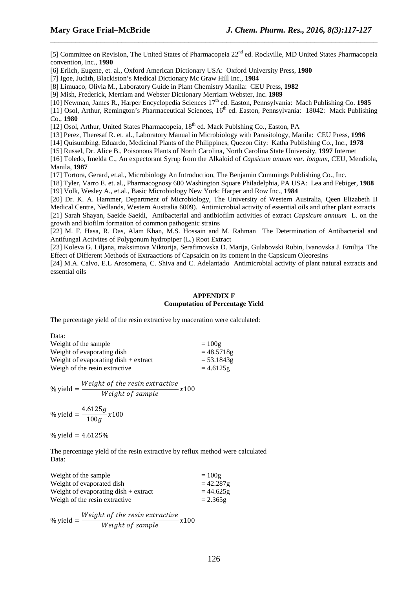[5] Committee on Revision, The United States of Pharmacopeia 22<sup>nd</sup> ed. Rockville, MD United States Pharmacopeia convention, Inc., **1990**

\_\_\_\_\_\_\_\_\_\_\_\_\_\_\_\_\_\_\_\_\_\_\_\_\_\_\_\_\_\_\_\_\_\_\_\_\_\_\_\_\_\_\_\_\_\_\_\_\_\_\_\_\_\_\_\_\_\_\_\_\_\_\_\_\_\_\_\_\_\_\_\_\_\_\_\_\_\_

[6] Erlich, Eugene, et. al., Oxford American Dictionary USA: Oxford University Press, **1980**

[7] Igoe, Judith, Blackiston's Medical Dictionary Mc Graw Hill Inc., **1984**

[8] Limuaco, Olivia M., Laboratory Guide in Plant Chemistry Manila: CEU Press, **1982**

[9] Mish, Frederick, Merriam and Webster Dictionary Merriam Webster, Inc. **1989**

[10] Newman, James R., Harper Encyclopedia Sciences 17th ed. Easton, Pennsylvania: Mach Publishing Co. **1985**

[11] Osol, Arthur, Remington's Pharmaceutical Sciences,  $16<sup>th</sup>$  ed. Easton, Pennsylvania: 18042: Mack Publishing Co., **1980**

[12] Osol, Arthur, United States Pharmacopeia, 18<sup>th</sup> ed. Mack Publshing Co., Easton, PA

[13] Perez, Theresaf R. et. al., Laboratory Manual in Microbiology with Parasitology, Manila: CEU Press, **1996**

[14] Quisumbing, Eduardo, Medicinal Plants of the Philippines, Quezon City: Katha Publishing Co., Inc., **1978**

[15] Russel, Dr. Alice B., Poisonous Plants of North Carolina, North Carolina State University, **1997** Internet

[16] Toledo, Imelda C., An expectorant Syrup from the Alkaloid of *Capsicum anuum var. longum,* CEU, Mendiola, Manila, **1987**

[17] Tortora, Gerard, et.al., Microbiology An Introduction, The Benjamin Cummings Publishing Co., Inc.

[18] Tyler, Varro E. et. al., Pharmacognosy 600 Washington Square Philadelphia, PA USA: Lea and Febiger, **1988**

[19] Volk, Wesley A., et.al., Basic Microbiology New York: Harper and Row Inc., **1984**

[20] Dr. K. A. Hammer, Department of Microbiology, The University of Western Australia, Qeen Elizabeth II Medical Centre, Nedlands, Western Australia 6009). Antimicrobial activity of essential oils and other plant extracts [21] Sarah Shayan, Saeide Saeidi, Antibacterial and antibiofilm activities of extract *Capsicum annuum* L. on the growth and biofilm formation of common pathogenic strains

[22] M. F. Hasa, R. Das, Alam Khan, M.S. Hossain and M. Rahman The Determination of Antibacterial and Antifungal Activites of Polygonum hydropiper (L.) Root Extract

[23] Koleva G. Liljana, maksimova Viktorija, Serafimovska D. Marija, Gulabovski Rubin, Ivanovska J. Emilija The Effect of Different Methods of Extraactions of Capsaicin on its content in the Capsicum Oleoresins

[24] M.A. Calvo, E.L Arosomena, C. Shiva and C. Adelantado Antimicrobial activity of plant natural extracts and essential oils

## **APPENDIX F Computation of Percentage Yield**

The percentage yield of the resin extractive by maceration were calculated:

| Data:                                  |              |
|----------------------------------------|--------------|
| Weight of the sample                   | $=100g$      |
| Weight of evaporating dish             | $= 48.5718g$ |
| Weight of evaporating dish $+$ extract | $= 53.1843g$ |
| Weigh of the resin extractive          | $= 4.6125g$  |

$$
\% yield = \frac{Weight\ of\ the\ resin\ extractive}{Weight\ of\ sample} x100
$$

% yield 
$$
=
$$
  $\frac{4.6125g}{100g}x100$ 

% vield =  $4.6125%$ 

The percentage yield of the resin extractive by reflux method were calculated Data:

| Weight of the sample                                 | $=100g$     |
|------------------------------------------------------|-------------|
| Weight of evaporated dish                            | $= 42.287g$ |
| Weight of evaporating $\text{dish} + \text{extract}$ | $= 44.625g$ |
| Weigh of the resin extractive                        | $= 2.365g$  |

% yield  $=$   $\frac{Weight\ of\ the\ resin\ extractive}{M\ cisk\ of\ sound}$  $Weight of sample$   $x100$